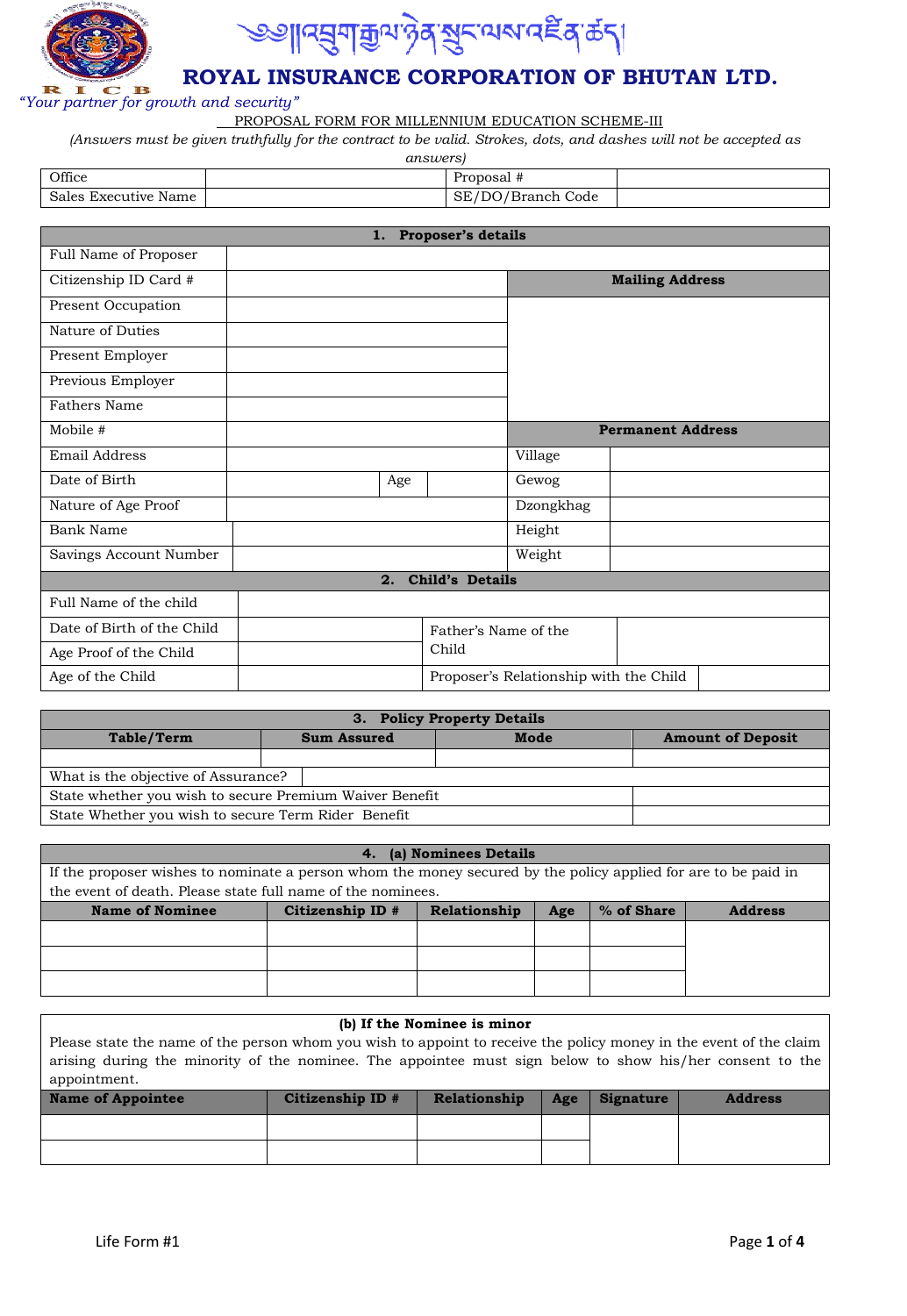



## **ROYAL INSURANCE CORPORATION OF BHUTAN LTD.**

*"Your partner for growth and security"* 

PROPOSAL FORM FOR MILLENNIUM EDUCATION SCHEME-III

*(Answers must be given truthfully for the contract to be valid. Strokes, dots, and dashes will not be accepted as* 

*answers)*

| Office               | Proposal #                     |  |
|----------------------|--------------------------------|--|
| Sales Executive Name | SE/DO/<br><b>\/Branch Code</b> |  |

| 1. Proposer's details      |  |     |                                        |           |                          |
|----------------------------|--|-----|----------------------------------------|-----------|--------------------------|
| Full Name of Proposer      |  |     |                                        |           |                          |
| Citizenship ID Card #      |  |     |                                        |           | <b>Mailing Address</b>   |
| Present Occupation         |  |     |                                        |           |                          |
| Nature of Duties           |  |     |                                        |           |                          |
| Present Employer           |  |     |                                        |           |                          |
| Previous Employer          |  |     |                                        |           |                          |
| <b>Fathers Name</b>        |  |     |                                        |           |                          |
| Mobile #                   |  |     |                                        |           | <b>Permanent Address</b> |
| Email Address              |  |     |                                        | Village   |                          |
| Date of Birth              |  | Age |                                        | Gewog     |                          |
| Nature of Age Proof        |  |     |                                        | Dzongkhag |                          |
| Bank Name                  |  |     |                                        | Height    |                          |
| Savings Account Number     |  |     |                                        | Weight    |                          |
|                            |  | 2.  | <b>Child's Details</b>                 |           |                          |
| Full Name of the child     |  |     |                                        |           |                          |
| Date of Birth of the Child |  |     | Father's Name of the                   |           |                          |
| Age Proof of the Child     |  |     | Child                                  |           |                          |
| Age of the Child           |  |     | Proposer's Relationship with the Child |           |                          |

| 3. Policy Property Details                          |                                                         |  |      |                          |  |  |  |  |
|-----------------------------------------------------|---------------------------------------------------------|--|------|--------------------------|--|--|--|--|
| Table/Term                                          | <b>Sum Assured</b>                                      |  | Mode | <b>Amount of Deposit</b> |  |  |  |  |
|                                                     |                                                         |  |      |                          |  |  |  |  |
| What is the objective of Assurance?                 |                                                         |  |      |                          |  |  |  |  |
|                                                     | State whether you wish to secure Premium Waiver Benefit |  |      |                          |  |  |  |  |
| State Whether you wish to secure Term Rider Benefit |                                                         |  |      |                          |  |  |  |  |

| 4. (a) Nominees Details                                                                                        |                  |              |     |            |                |  |  |
|----------------------------------------------------------------------------------------------------------------|------------------|--------------|-----|------------|----------------|--|--|
| If the proposer wishes to nominate a person whom the money secured by the policy applied for are to be paid in |                  |              |     |            |                |  |  |
| the event of death. Please state full name of the nominees.                                                    |                  |              |     |            |                |  |  |
| <b>Name of Nominee</b>                                                                                         | Citizenship ID # | Relationship | Age | % of Share | <b>Address</b> |  |  |
|                                                                                                                |                  |              |     |            |                |  |  |
|                                                                                                                |                  |              |     |            |                |  |  |
|                                                                                                                |                  |              |     |            |                |  |  |
|                                                                                                                |                  |              |     |            |                |  |  |

### **(b) If the Nominee is minor**

Please state the name of the person whom you wish to appoint to receive the policy money in the event of the claim arising during the minority of the nominee. The appointee must sign below to show his/her consent to the appointment.

| <b>Name of Appointee</b> | Citizenship ID # | Relationship | Age | <b>Signature</b> | <b>Address</b> |
|--------------------------|------------------|--------------|-----|------------------|----------------|
|                          |                  |              |     |                  |                |
|                          |                  |              |     |                  |                |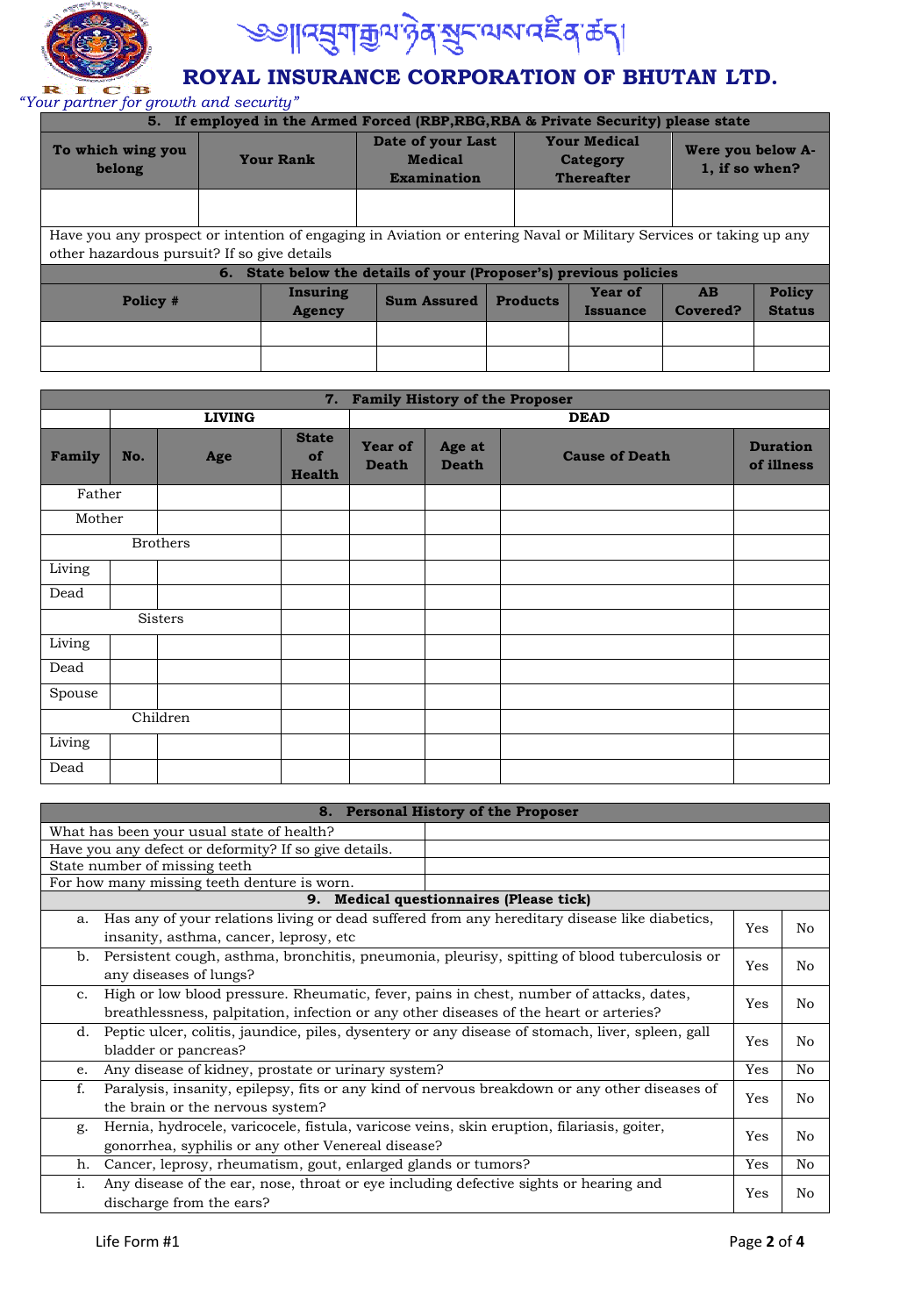



## **ROYAL INSURANCE CORPORATION OF BHUTAN LTD.**

*"Your partner for growth and security"* 

| 5. If employed in the Armed Forced (RBP, RBG, RBA & Private Security) please state |                                                                                                                                                                   |                  |                                                                   |                                                      |          |                                     |               |  |
|------------------------------------------------------------------------------------|-------------------------------------------------------------------------------------------------------------------------------------------------------------------|------------------|-------------------------------------------------------------------|------------------------------------------------------|----------|-------------------------------------|---------------|--|
| To which wing you<br>belong                                                        |                                                                                                                                                                   | <b>Your Rank</b> | Date of your Last<br><b>Medical</b><br>Examination                | <b>Your Medical</b><br>Category<br><b>Thereafter</b> |          | Were you below A-<br>1, if so when? |               |  |
|                                                                                    |                                                                                                                                                                   |                  |                                                                   |                                                      |          |                                     |               |  |
|                                                                                    | Have you any prospect or intention of engaging in Aviation or entering Naval or Military Services or taking up any<br>other hazardous pursuit? If so give details |                  |                                                                   |                                                      |          |                                     |               |  |
|                                                                                    |                                                                                                                                                                   |                  | 6. State below the details of your (Proposer's) previous policies |                                                      |          |                                     |               |  |
|                                                                                    |                                                                                                                                                                   | Insuring         | <b>Sum Assured</b>                                                | <b>Products</b>                                      | Year of  | AB                                  | <b>Policy</b> |  |
|                                                                                    | Policy #<br><b>Agency</b>                                                                                                                                         |                  |                                                                   | <b>Issuance</b>                                      | Covered? | <b>Status</b>                       |               |  |
|                                                                                    |                                                                                                                                                                   |                  |                                                                   |                                                      |          |                                     |               |  |
|                                                                                    |                                                                                                                                                                   |                  |                                                                   |                                                      |          |                                     |               |  |

|        | 7. Family History of the Proposer |                 |                                     |                                |                        |                       |                               |  |
|--------|-----------------------------------|-----------------|-------------------------------------|--------------------------------|------------------------|-----------------------|-------------------------------|--|
|        |                                   | <b>LIVING</b>   |                                     |                                |                        | <b>DEAD</b>           |                               |  |
| Family | No.                               | Age             | <b>State</b><br>of<br><b>Health</b> | <b>Year of</b><br><b>Death</b> | Age at<br><b>Death</b> | <b>Cause of Death</b> | <b>Duration</b><br>of illness |  |
| Father |                                   |                 |                                     |                                |                        |                       |                               |  |
| Mother |                                   |                 |                                     |                                |                        |                       |                               |  |
|        |                                   | <b>Brothers</b> |                                     |                                |                        |                       |                               |  |
| Living |                                   |                 |                                     |                                |                        |                       |                               |  |
| Dead   |                                   |                 |                                     |                                |                        |                       |                               |  |
|        |                                   | Sisters         |                                     |                                |                        |                       |                               |  |
| Living |                                   |                 |                                     |                                |                        |                       |                               |  |
| Dead   |                                   |                 |                                     |                                |                        |                       |                               |  |
| Spouse |                                   |                 |                                     |                                |                        |                       |                               |  |
|        |                                   | Children        |                                     |                                |                        |                       |                               |  |
| Living |                                   |                 |                                     |                                |                        |                       |                               |  |
| Dead   |                                   |                 |                                     |                                |                        |                       |                               |  |

|                                                                                                        | 8. Personal History of the Proposer                                                              |     |    |  |  |
|--------------------------------------------------------------------------------------------------------|--------------------------------------------------------------------------------------------------|-----|----|--|--|
| What has been your usual state of health?                                                              |                                                                                                  |     |    |  |  |
| Have you any defect or deformity? If so give details.                                                  |                                                                                                  |     |    |  |  |
| State number of missing teeth                                                                          |                                                                                                  |     |    |  |  |
| For how many missing teeth denture is worn.                                                            |                                                                                                  |     |    |  |  |
| 9.                                                                                                     | <b>Medical questionnaires (Please tick)</b>                                                      |     |    |  |  |
| Has any of your relations living or dead suffered from any hereditary disease like diabetics,<br>a.    |                                                                                                  | Yes | No |  |  |
| insanity, asthma, cancer, leprosy, etc.                                                                |                                                                                                  |     |    |  |  |
| Persistent cough, asthma, bronchitis, pneumonia, pleurisy, spitting of blood tuberculosis or<br>b.     |                                                                                                  |     | No |  |  |
| Yes<br>any diseases of lungs?                                                                          |                                                                                                  |     |    |  |  |
| High or low blood pressure. Rheumatic, fever, pains in chest, number of attacks, dates,<br>$C_{\star}$ |                                                                                                  |     |    |  |  |
| Yes<br>breathlessness, palpitation, infection or any other diseases of the heart or arteries?          |                                                                                                  |     |    |  |  |
| d.                                                                                                     | Peptic ulcer, colitis, jaundice, piles, dysentery or any disease of stomach, liver, spleen, gall |     |    |  |  |
| bladder or pancreas?                                                                                   |                                                                                                  | Yes | No |  |  |
| Any disease of kidney, prostate or urinary system?<br>e.                                               |                                                                                                  | Yes | No |  |  |
| Paralysis, insanity, epilepsy, fits or any kind of nervous breakdown or any other diseases of<br>f.    |                                                                                                  |     |    |  |  |
| the brain or the nervous system?                                                                       |                                                                                                  | Yes | No |  |  |
| Hernia, hydrocele, varicocele, fistula, varicose veins, skin eruption, filariasis, goiter,<br>g.       |                                                                                                  |     |    |  |  |
| Yes<br>gonorrhea, syphilis or any other Venereal disease?                                              |                                                                                                  |     |    |  |  |
| Cancer, leprosy, rheumatism, gout, enlarged glands or tumors?<br>h.                                    |                                                                                                  | Yes | No |  |  |
| Any disease of the ear, nose, throat or eye including defective sights or hearing and<br>i.            |                                                                                                  | Yes | No |  |  |
| discharge from the ears?                                                                               |                                                                                                  |     |    |  |  |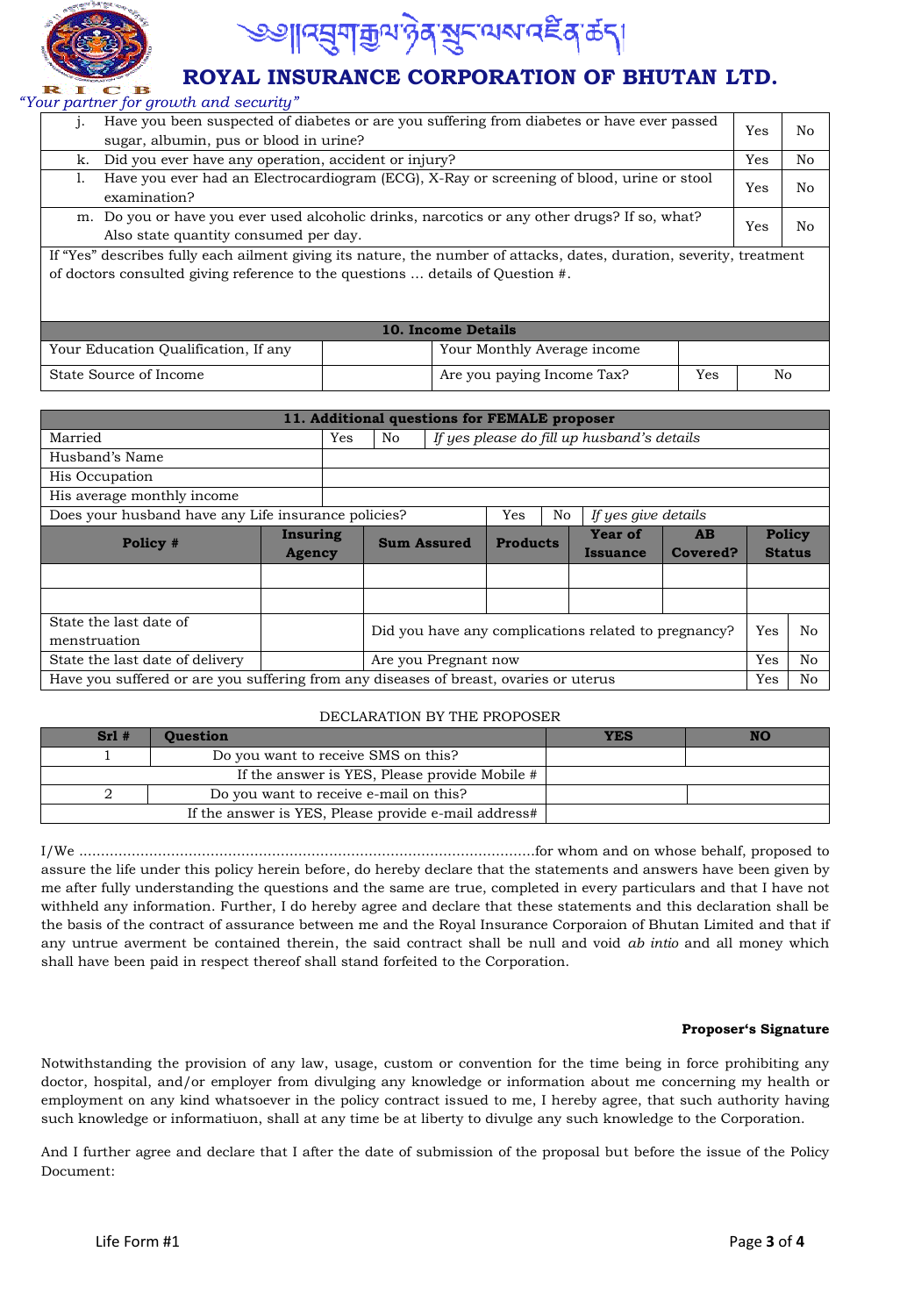

# <u> अ∣। द्युगक्रुपप्रदेशस्य बाद्धिश्रक्ष्टि</u>

## **ROYAL INSURANCE CORPORATION OF BHUTAN LTD.**

*"Your partner for growth and security"* 

| 1.                                                                                                  | Have you been suspected of diabetes or are you suffering from diabetes or have ever passed                           | Yes | No |  |  |
|-----------------------------------------------------------------------------------------------------|----------------------------------------------------------------------------------------------------------------------|-----|----|--|--|
|                                                                                                     | sugar, albumin, pus or blood in urine?                                                                               |     |    |  |  |
| k.                                                                                                  | Did you ever have any operation, accident or injury?                                                                 | Yes | No |  |  |
| I.                                                                                                  | Have you ever had an Electrocardiogram (ECG), X-Ray or screening of blood, urine or stool                            |     |    |  |  |
|                                                                                                     | Yes<br>examination?                                                                                                  |     |    |  |  |
| m. Do you or have you ever used alcoholic drinks, narcotics or any other drugs? If so, what?<br>Yes |                                                                                                                      |     |    |  |  |
|                                                                                                     | Also state quantity consumed per day.                                                                                |     | No |  |  |
|                                                                                                     | If "Yes" describes fully each ailment giving its nature, the number of attacks, dates, duration, severity, treatment |     |    |  |  |
|                                                                                                     | of doctors consulted giving reference to the questions  details of Question #.                                       |     |    |  |  |
|                                                                                                     |                                                                                                                      |     |    |  |  |
|                                                                                                     |                                                                                                                      |     |    |  |  |
|                                                                                                     | <b>10. Income Details</b>                                                                                            |     |    |  |  |
|                                                                                                     | Your Education Qualification, If any<br>Your Monthly Average income                                                  |     |    |  |  |

State Source of Income Are you paying Income Tax? Yes No

| 11. Additional questions for FEMALE proposer                                          |               |                             |                                                      |                    |                 |    |                                            |          |               |    |
|---------------------------------------------------------------------------------------|---------------|-----------------------------|------------------------------------------------------|--------------------|-----------------|----|--------------------------------------------|----------|---------------|----|
| Married                                                                               |               | Yes                         | No                                                   |                    |                 |    | If yes please do fill up husband's details |          |               |    |
| Husband's Name                                                                        |               |                             |                                                      |                    |                 |    |                                            |          |               |    |
| His Occupation                                                                        |               |                             |                                                      |                    |                 |    |                                            |          |               |    |
| His average monthly income                                                            |               |                             |                                                      |                    |                 |    |                                            |          |               |    |
| Does your husband have any Life insurance policies?                                   |               |                             |                                                      |                    | Yes             | No | If yes give details                        |          |               |    |
|                                                                                       | Insuring      |                             |                                                      | <b>Sum Assured</b> | <b>Products</b> |    | Year of<br>AB                              |          | <b>Policy</b> |    |
| Policy #                                                                              | <b>Agency</b> |                             |                                                      |                    |                 |    | Issuance                                   | Covered? | <b>Status</b> |    |
|                                                                                       |               |                             |                                                      |                    |                 |    |                                            |          |               |    |
|                                                                                       |               |                             |                                                      |                    |                 |    |                                            |          |               |    |
| State the last date of<br>menstruation                                                |               |                             | Did you have any complications related to pregnancy? |                    |                 |    | Yes                                        | No       |               |    |
| State the last date of delivery                                                       |               | Yes<br>Are you Pregnant now |                                                      |                    |                 |    | N <sub>o</sub>                             |          |               |    |
| Have you suffered or are you suffering from any diseases of breast, ovaries or uterus |               |                             |                                                      |                    |                 |    |                                            |          | Yes           | No |

#### DECLARATION BY THE PROPOSER

| $Srl$ #                                | Ouestion                                             | <b>YES</b> |  |  |  |
|----------------------------------------|------------------------------------------------------|------------|--|--|--|
|                                        | Do you want to receive SMS on this?                  |            |  |  |  |
|                                        | If the answer is YES, Please provide Mobile #        |            |  |  |  |
| Do you want to receive e-mail on this? |                                                      |            |  |  |  |
|                                        | If the answer is YES, Please provide e-mail address# |            |  |  |  |

I/We ........................................................................................................for whom and on whose behalf, proposed to assure the life under this policy herein before, do hereby declare that the statements and answers have been given by me after fully understanding the questions and the same are true, completed in every particulars and that I have not withheld any information. Further, I do hereby agree and declare that these statements and this declaration shall be the basis of the contract of assurance between me and the Royal Insurance Corporaion of Bhutan Limited and that if any untrue averment be contained therein, the said contract shall be null and void *ab intio* and all money which shall have been paid in respect thereof shall stand forfeited to the Corporation.

#### **Proposer's Signature**

Notwithstanding the provision of any law, usage, custom or convention for the time being in force prohibiting any doctor, hospital, and/or employer from divulging any knowledge or information about me concerning my health or employment on any kind whatsoever in the policy contract issued to me, I hereby agree, that such authority having such knowledge or informatiuon, shall at any time be at liberty to divulge any such knowledge to the Corporation.

And I further agree and declare that I after the date of submission of the proposal but before the issue of the Policy Document: